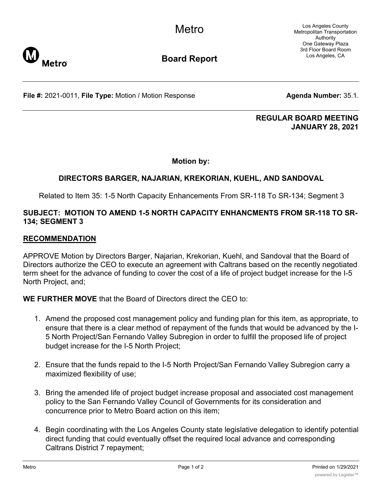Los Angeles County Metropolitan Transportation Authority One Gateway Plaza 3rd Floor Board Room Los Angeles, CA



**Board Report**

**File #:** 2021-0011, File Type: Motion / Motion Response **Agenda Number:** 35.1.

#### **REGULAR BOARD MEETING JANUARY 28, 2021**

**Motion by:**

# **DIRECTORS BARGER, NAJARIAN, KREKORIAN, KUEHL, AND SANDOVAL**

Related to Item 35: 1-5 North Capacity Enhancements From SR-118 To SR-134; Segment 3

## **SUBJECT: MOTION TO AMEND 1-5 NORTH CAPACITY ENHANCMENTS FROM SR-118 TO SR-134; SEGMENT 3**

### **RECOMMENDATION**

**Metro** 

APPROVE Motion by Directors Barger, Najarian, Krekorian, Kuehl, and Sandoval that the Board of Directors authorize the CEO to execute an agreement with Caltrans based on the recently negotiated term sheet for the advance of funding to cover the cost of a life of project budget increase for the I-5 North Project, and;

**WE FURTHER MOVE** that the Board of Directors direct the CEO to:

- 1. Amend the proposed cost management policy and funding plan for this item, as appropriate, to ensure that there is a clear method of repayment of the funds that would be advanced by the I-5 North Project/San Fernando Valley Subregion in order to fulfill the proposed life of project budget increase for the I-5 North Project;
- 2. Ensure that the funds repaid to the I-5 North Project/San Fernando Valley Subregion carry a maximized flexibility of use;
- 3. Bring the amended life of project budget increase proposal and associated cost management policy to the San Fernando Valley Council of Governments for its consideration and concurrence prior to Metro Board action on this item;
- 4. Begin coordinating with the Los Angeles County state legislative delegation to identify potential direct funding that could eventually offset the required local advance and corresponding Caltrans District 7 repayment;